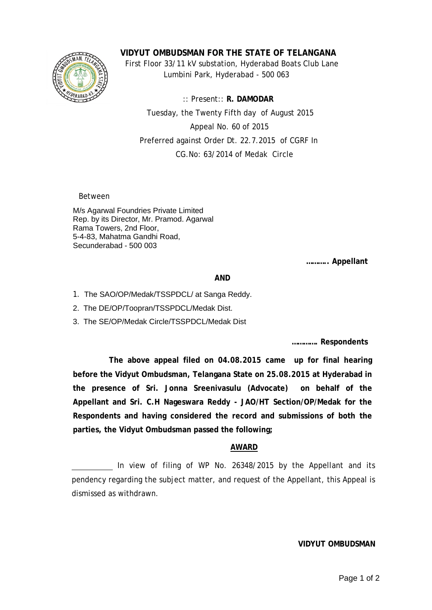

**VIDYUT OMBUDSMAN FOR THE STATE OF TELANGANA**

 First Floor 33/11 kV substation, Hyderabad Boats Club Lane Lumbini Park, Hyderabad - 500 063

 :: Present:: **R. DAMODAR** Tuesday, the Twenty Fifth day of August 2015 Appeal No. 60 of 2015 Preferred against Order Dt. 22.7.2015 of CGRF In CG.No: 63/2014 of Medak Circle

Between

M/s Agarwal Foundries Private Limited Rep. by its Director, Mr. Pramod. Agarwal Rama Towers, 2nd Floor, 5-4-83, Mahatma Gandhi Road, Secunderabad - 500 003

**……….. Appellant**

## **AND**

- 1. The SAO/OP/Medak/TSSPDCL/ at Sanga Reddy.
- 2. The DE/OP/Toopran/TSSPDCL/Medak Dist.
- 3. The SE/OP/Medak Circle/TSSPDCL/Medak Dist

**…………. Respondents**

 **The above appeal filed on 04.08.2015 came up for final hearing before the Vidyut Ombudsman, Telangana State on 25.08.2015 at Hyderabad in the presence of Sri. Jonna Sreenivasulu (Advocate) on behalf of the Appellant and Sri. C.H Nageswara Reddy - JAO/HT Section/OP/Medak for the Respondents and having considered the record and submissions of both the parties, the Vidyut Ombudsman passed the following;**

## **AWARD**

In view of filing of WP No. 26348/2015 by the Appellant and its pendency regarding the subject matter, and request of the Appellant, this Appeal is dismissed as withdrawn.

## **VIDYUT OMBUDSMAN**